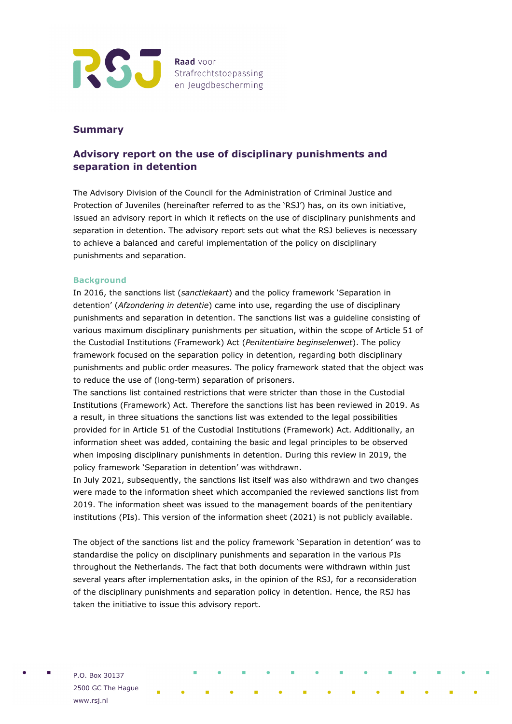

## **Summary**

# **Advisory report on the use of disciplinary punishments and separation in detention**

The Advisory Division of the Council for the Administration of Criminal Justice and Protection of Juveniles (hereinafter referred to as the 'RSJ') has, on its own initiative, issued an advisory report in which it reflects on the use of disciplinary punishments and separation in detention. The advisory report sets out what the RSJ believes is necessary to achieve a balanced and careful implementation of the policy on disciplinary punishments and separation.

### **Background**

In 2016, the sanctions list (*sanctiekaart*) and the policy framework 'Separation in detention' (*Afzondering in detentie*) came into use, regarding the use of disciplinary punishments and separation in detention. The sanctions list was a guideline consisting of various maximum disciplinary punishments per situation, within the scope of Article 51 of the Custodial Institutions (Framework) Act (*Penitentiaire beginselenwet*). The policy framework focused on the separation policy in detention, regarding both disciplinary punishments and public order measures. The policy framework stated that the object was to reduce the use of (long-term) separation of prisoners.

The sanctions list contained restrictions that were stricter than those in the Custodial Institutions (Framework) Act. Therefore the sanctions list has been reviewed in 2019. As a result, in three situations the sanctions list was extended to the legal possibilities provided for in Article 51 of the Custodial Institutions (Framework) Act. Additionally, an information sheet was added, containing the basic and legal principles to be observed when imposing disciplinary punishments in detention. During this review in 2019, the policy framework 'Separation in detention' was withdrawn.

In July 2021, subsequently, the sanctions list itself was also withdrawn and two changes were made to the information sheet which accompanied the reviewed sanctions list from 2019. The information sheet was issued to the management boards of the penitentiary institutions (PIs). This version of the information sheet (2021) is not publicly available.

The object of the sanctions list and the policy framework 'Separation in detention' was to standardise the policy on disciplinary punishments and separation in the various PIs throughout the Netherlands. The fact that both documents were withdrawn within just several years after implementation asks, in the opinion of the RSJ, for a reconsideration of the disciplinary punishments and separation policy in detention. Hence, the RSJ has taken the initiative to issue this advisory report.

P.O. Box 30137 2500 GC The Hague www.rsj.nl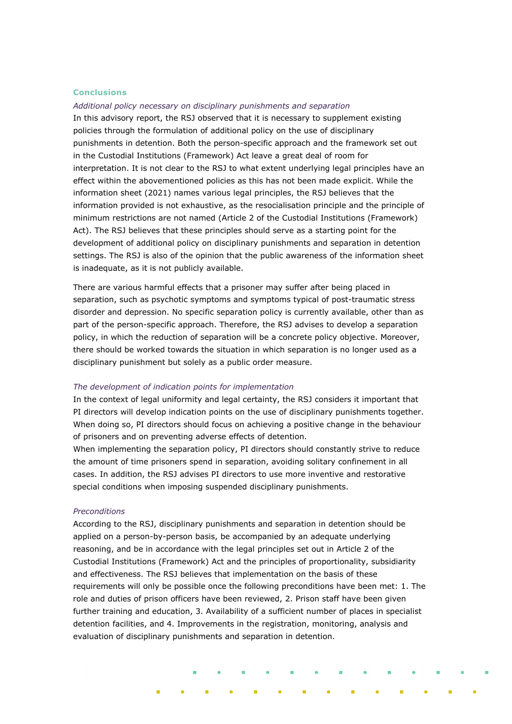#### **Conclusions**

*Additional policy necessary on disciplinary punishments and separation* In this advisory report, the RSJ observed that it is necessary to supplement existing policies through the formulation of additional policy on the use of disciplinary punishments in detention. Both the person-specific approach and the framework set out in the Custodial Institutions (Framework) Act leave a great deal of room for interpretation. It is not clear to the RSJ to what extent underlying legal principles have an effect within the abovementioned policies as this has not been made explicit. While the information sheet (2021) names various legal principles, the RSJ believes that the information provided is not exhaustive, as the resocialisation principle and the principle of minimum restrictions are not named (Article 2 of the Custodial Institutions (Framework) Act). The RSJ believes that these principles should serve as a starting point for the development of additional policy on disciplinary punishments and separation in detention settings. The RSJ is also of the opinion that the public awareness of the information sheet is inadequate, as it is not publicly available.

There are various harmful effects that a prisoner may suffer after being placed in separation, such as psychotic symptoms and symptoms typical of post-traumatic stress disorder and depression. No specific separation policy is currently available, other than as part of the person-specific approach. Therefore, the RSJ advises to develop a separation policy, in which the reduction of separation will be a concrete policy objective. Moreover, there should be worked towards the situation in which separation is no longer used as a disciplinary punishment but solely as a public order measure.

#### *The development of indication points for implementation*

In the context of legal uniformity and legal certainty, the RSJ considers it important that PI directors will develop indication points on the use of disciplinary punishments together. When doing so, PI directors should focus on achieving a positive change in the behaviour of prisoners and on preventing adverse effects of detention.

When implementing the separation policy, PI directors should constantly strive to reduce the amount of time prisoners spend in separation, avoiding solitary confinement in all cases. In addition, the RSJ advises PI directors to use more inventive and restorative special conditions when imposing suspended disciplinary punishments.

#### *Preconditions*

According to the RSJ, disciplinary punishments and separation in detention should be applied on a person-by-person basis, be accompanied by an adequate underlying reasoning, and be in accordance with the legal principles set out in Article 2 of the Custodial Institutions (Framework) Act and the principles of proportionality, subsidiarity and effectiveness. The RSJ believes that implementation on the basis of these requirements will only be possible once the following preconditions have been met: 1. The role and duties of prison officers have been reviewed, 2. Prison staff have been given further training and education, 3. Availability of a sufficient number of places in specialist detention facilities, and 4. Improvements in the registration, monitoring, analysis and evaluation of disciplinary punishments and separation in detention.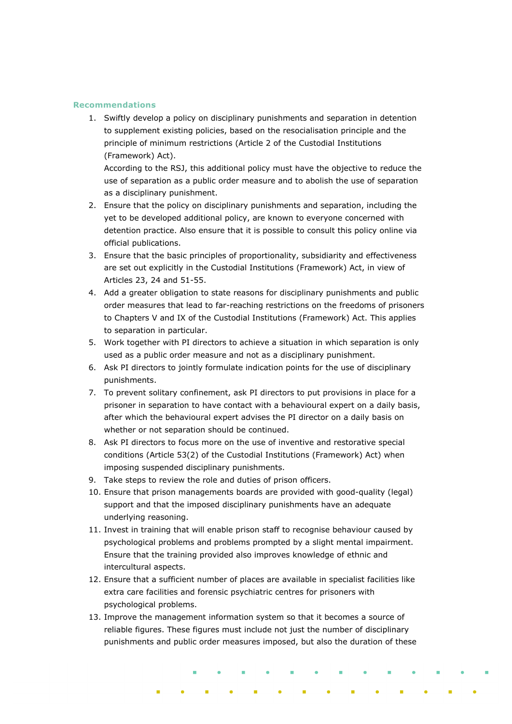#### **Recommendations**

1. Swiftly develop a policy on disciplinary punishments and separation in detention to supplement existing policies, based on the resocialisation principle and the principle of minimum restrictions (Article 2 of the Custodial Institutions (Framework) Act).

According to the RSJ, this additional policy must have the objective to reduce the use of separation as a public order measure and to abolish the use of separation as a disciplinary punishment.

- 2. Ensure that the policy on disciplinary punishments and separation, including the yet to be developed additional policy, are known to everyone concerned with detention practice. Also ensure that it is possible to consult this policy online via official publications.
- 3. Ensure that the basic principles of proportionality, subsidiarity and effectiveness are set out explicitly in the Custodial Institutions (Framework) Act, in view of Articles 23, 24 and 51-55.
- 4. Add a greater obligation to state reasons for disciplinary punishments and public order measures that lead to far-reaching restrictions on the freedoms of prisoners to Chapters V and IX of the Custodial Institutions (Framework) Act. This applies to separation in particular.
- 5. Work together with PI directors to achieve a situation in which separation is only used as a public order measure and not as a disciplinary punishment.
- 6. Ask PI directors to jointly formulate indication points for the use of disciplinary punishments.
- 7. To prevent solitary confinement, ask PI directors to put provisions in place for a prisoner in separation to have contact with a behavioural expert on a daily basis, after which the behavioural expert advises the PI director on a daily basis on whether or not separation should be continued.
- 8. Ask PI directors to focus more on the use of inventive and restorative special conditions (Article 53(2) of the Custodial Institutions (Framework) Act) when imposing suspended disciplinary punishments.
- 9. Take steps to review the role and duties of prison officers.
- 10. Ensure that prison managements boards are provided with good-quality (legal) support and that the imposed disciplinary punishments have an adequate underlying reasoning.
- 11. Invest in training that will enable prison staff to recognise behaviour caused by psychological problems and problems prompted by a slight mental impairment. Ensure that the training provided also improves knowledge of ethnic and intercultural aspects.
- 12. Ensure that a sufficient number of places are available in specialist facilities like extra care facilities and forensic psychiatric centres for prisoners with psychological problems.
- 13. Improve the management information system so that it becomes a source of reliable figures. These figures must include not just the number of disciplinary punishments and public order measures imposed, but also the duration of these

**Contractor**